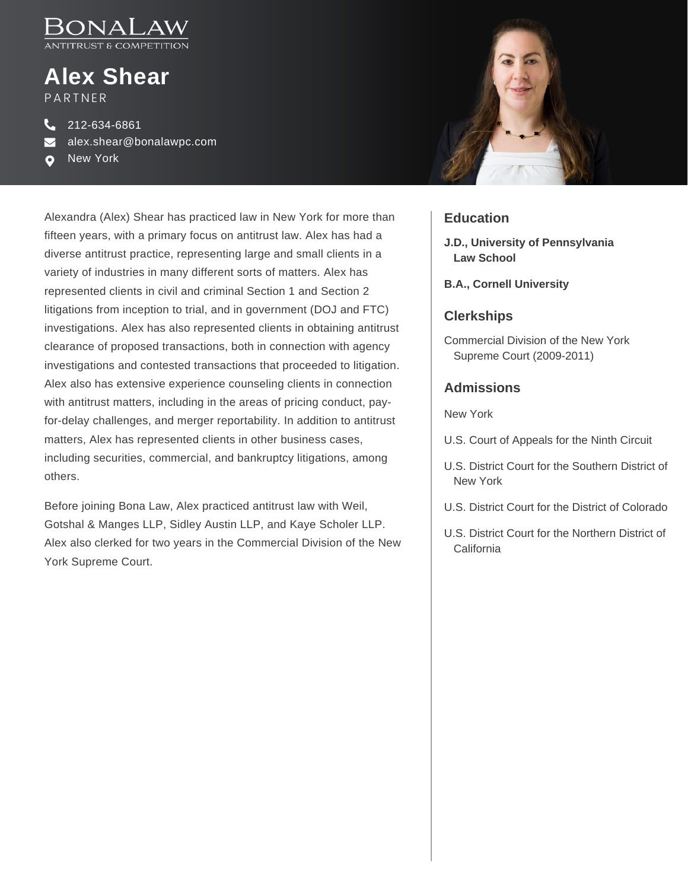

# **Alex Shear** PARTNER

212-634-6861 alex.shear@bonalawpc.com

New [York](https://www.bonalaw.com/locations)  $\bullet$ 

Alexandra (Alex) Shear has practiced law in New York for more than fifteen years, with a primary focus on antitrust law. Alex has had a diverse antitrust practice, representing large and small clients in a variety of industries in many different sorts of matters. Alex has represented clients in civil and criminal Section 1 and Section 2 litigations from inception to trial, and in government (DOJ and FTC) investigations. Alex has also represented clients in obtaining antitrust clearance of proposed transactions, both in connection with agency investigations and contested transactions that proceeded to litigation. Alex also has extensive experience counseling clients in connection with antitrust matters, including in the areas of pricing conduct, payfor-delay challenges, and merger reportability. In addition to antitrust matters, Alex has represented clients in other business cases, including securities, commercial, and bankruptcy litigations, among others.

Before joining Bona Law, Alex practiced antitrust law with Weil, Gotshal & Manges LLP, Sidley Austin LLP, and Kaye Scholer LLP. Alex also clerked for two years in the Commercial Division of the New York Supreme Court.



#### **Education**

- **J.D., University of Pennsylvania Law School**
- **B.A., Cornell University**

### **Clerkships**

Commercial Division of the New York Supreme Court (2009-2011)

#### **Admissions**

New York

- U.S. Court of Appeals for the Ninth Circuit
- U.S. District Court for the Southern District of New York
- U.S. District Court for the District of Colorado
- U.S. District Court for the Northern District of **California**